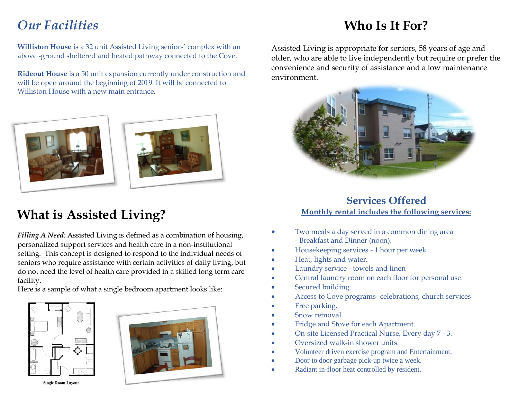## *Our Facilities*

**Williston House** is a 32 unit Assisted Living seniors' complex with an above -ground sheltered and heated pathway connected to the Cove.

**Rideout House** is a 50 unit expansion currently under construction and will be open around the beginning of 2019. It will be connected to Williston House with a new main entrance.





## **What is Assisted Living?**

*Filling A Need:* Assisted Living is defined as a combination of housing, personalized support services and health care in a non-institutional setting. This concept is designed to respond to the individual needs of seniors who require assistance with certain activities of daily living, but do not need the level of health care provided in a skilled long term care facility.

Here is a sample of what a single bedroom apartment looks like:





**Single Room Layout** 

## **Who Is It For?**

Assisted Living is appropriate for seniors, 58 years of age and older, who are able to live independently but require or prefer the convenience and security of assistance and a low maintenance environment.



### **Services Offered Monthly rental includes the following services:**

- Two meals a day served in a common dining area - Breakfast and Dinner (noon).
- Housekeeping services 1 hour per week.
- Heat, lights and water.
- Laundry service towels and linen
- Central laundry room on each floor for personal use.
- Secured building.
- Access to Cove programs- celebrations, church services
- Free parking.
- Snow removal.
- Fridge and Stove for each Apartment.
- On-site Licensed Practical Nurse, Every day 7 3.
- Oversized walk-in shower units.
- Volunteer driven exercise program and Entertainment.
- Door to door garbage pick-up twice a week.
- Radiant in-floor heat controlled by resident.